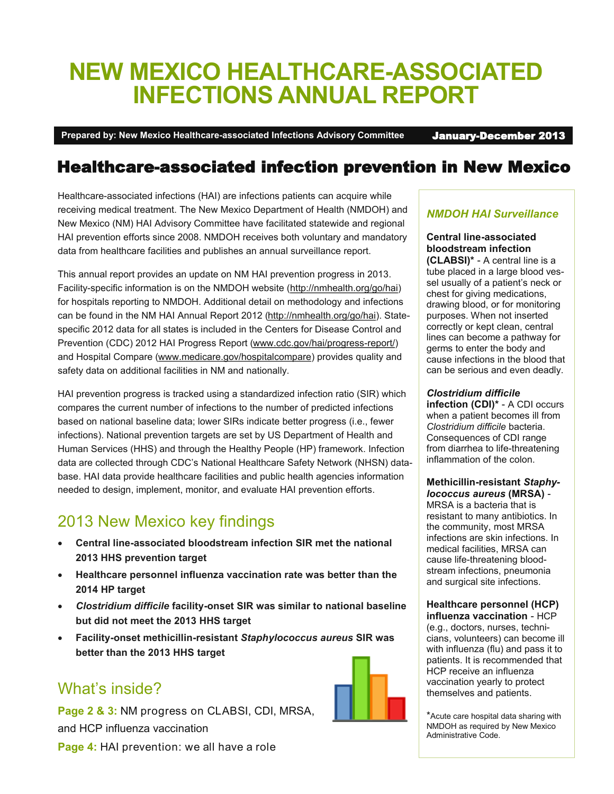# **NEW MEXICO HEALTHCARE-ASSOCIATED INFECTIONS ANNUAL REPORT**

**Prepared by: New Mexico Healthcare-associated Infections Advisory Committee** January-December 2013

### Healthcare-associated infection prevention in New Mexico

Healthcare-associated infections (HAI) are infections patients can acquire while receiving medical treatment. The New Mexico Department of Health (NMDOH) and New Mexico (NM) HAI Advisory Committee have facilitated statewide and regional HAI prevention efforts since 2008. NMDOH receives both voluntary and mandatory data from healthcare facilities and publishes an annual surveillance report.

This annual report provides an update on NM HAI prevention progress in 2013. Facility-specific information is on the NMDOH website [\(http://nmhealth.org/go/hai\)](http://www.nmhealth.org/go/hai) for hospitals reporting to NMDOH. Additional detail on methodology and infections can be found in the NM HAI Annual Report 2012 [\(http://nmhealth.org/go/hai\)](http://www.nmhealth.org/go/hai). Statespecific 2012 data for all states is included in the Centers for Disease Control and Prevention (CDC) 2012 HAI Progress Report [\(www.cdc.gov/hai/progress](http://www.cdc.gov/hai/progress-report/)-report/) and Hospital Compare [\(www.medicare.gov/hospitalcompare\)](http://www.medicare.gov/hospitalcompare) provides quality and safety data on additional facilities in NM and nationally.

HAI prevention progress is tracked using a standardized infection ratio (SIR) which compares the current number of infections to the number of predicted infections based on national baseline data; lower SIRs indicate better progress (i.e., fewer infections). National prevention targets are set by US Department of Health and Human Services (HHS) and through the Healthy People (HP) framework. Infection data are collected through CDC's National Healthcare Safety Network (NHSN) database. HAI data provide healthcare facilities and public health agencies information needed to design, implement, monitor, and evaluate HAI prevention efforts.

### 2013 New Mexico key findings

- **Central line-associated bloodstream infection SIR met the national 2013 HHS prevention target**
- **Healthcare personnel influenza vaccination rate was better than the 2014 HP target**
- *Clostridium difficile* **facility-onset SIR was similar to national baseline but did not meet the 2013 HHS target**
- **Facility-onset methicillin-resistant** *Staphylococcus aureus* **SIR was better than the 2013 HHS target**

#### What's inside?

**Page 2 & 3:** NM progress on CLABSI, CDI, MRSA, and HCP influenza vaccination



#### *NMDOH HAI Surveillance*

#### **Central line-associated bloodstream infection**

**(CLABSI)\*** - A central line is a tube placed in a large blood vessel usually of a patient's neck or chest for giving medications, drawing blood, or for monitoring purposes. When not inserted correctly or kept clean, central lines can become a pathway for germs to enter the body and cause infections in the blood that can be serious and even deadly.

#### *Clostridium difficile*

**infection (CDI)\*** - A CDI occurs when a patient becomes ill from *Clostridium difficile* bacteria. Consequences of CDI range from diarrhea to life-threatening inflammation of the colon.

#### **Methicillin-resistant** *Staphylococcus aureus* **(MRSA)** -

MRSA is a bacteria that is resistant to many antibiotics. In the community, most MRSA infections are skin infections. In medical facilities, MRSA can cause life-threatening bloodstream infections, pneumonia and surgical site infections.

#### **Healthcare personnel (HCP) influenza vaccination** - HCP

(e.g., doctors, nurses, technicians, volunteers) can become ill with influenza (flu) and pass it to patients. It is recommended that HCP receive an influenza vaccination yearly to protect themselves and patients.

\*Acute care hospital data sharing with NMDOH as required by New Mexico Administrative Code.

**Page 4: HAI prevention: we all have a role**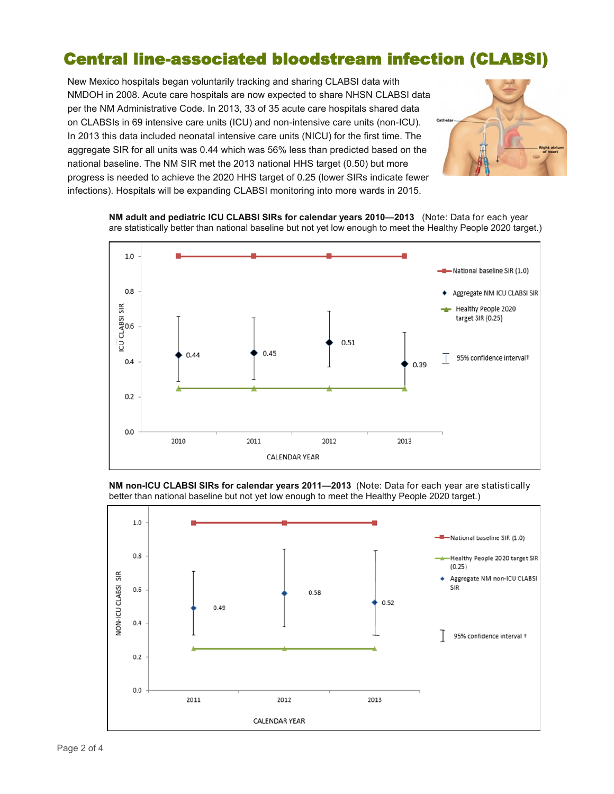### Central line-associated bloodstream infection (CLABSI)

New Mexico hospitals began voluntarily tracking and sharing CLABSI data with NMDOH in 2008. Acute care hospitals are now expected to share NHSN CLABSI data per the NM Administrative Code. In 2013, 33 of 35 acute care hospitals shared data on CLABSIs in 69 intensive care units (ICU) and non-intensive care units (non-ICU). In 2013 this data included neonatal intensive care units (NICU) for the first time. The aggregate SIR for all units was 0.44 which was 56% less than predicted based on the national baseline. The NM SIR met the 2013 national HHS target (0.50) but more progress is needed to achieve the 2020 HHS target of 0.25 (lower SIRs indicate fewer infections). Hospitals will be expanding CLABSI monitoring into more wards in 2015.



**NM adult and pediatric ICU CLABSI SIRs for calendar years 2010—2013** (Note: Data for each year are statistically better than national baseline but not yet low enough to meet the Healthy People 2020 target.)





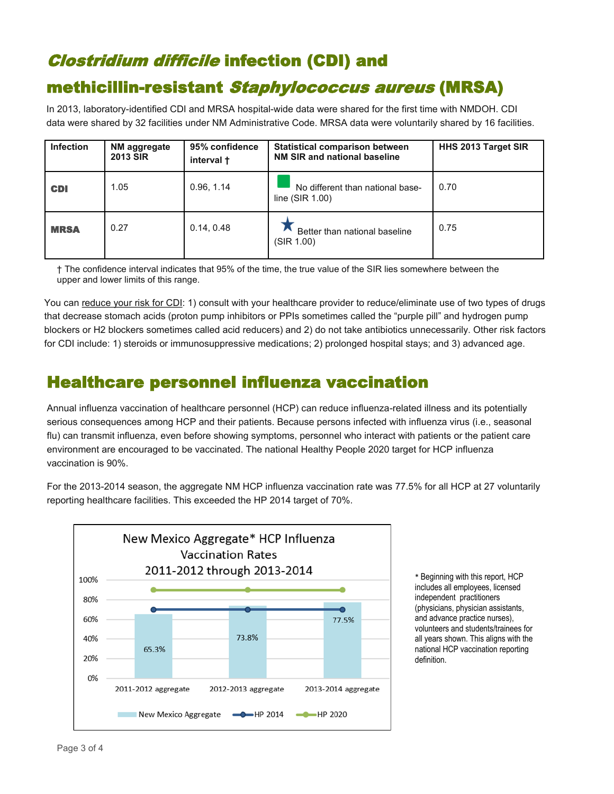## Clostridium difficile infection (CDI) and

### methicillin-resistant Staphylococcus aureus (MRSA)

In 2013, laboratory-identified CDI and MRSA hospital-wide data were shared for the first time with NMDOH. CDI data were shared by 32 facilities under NM Administrative Code. MRSA data were voluntarily shared by 16 facilities.

| <b>Infection</b> | <b>NM aggregate</b><br><b>2013 SIR</b> | 95% confidence<br>interval + | <b>Statistical comparison between</b><br>NM SIR and national baseline | HHS 2013 Target SIR |
|------------------|----------------------------------------|------------------------------|-----------------------------------------------------------------------|---------------------|
| <b>CDI</b>       | 1.05                                   | 0.96, 1.14                   | No different than national base-<br>line $(SIR 1.00)$                 | 0.70                |
| <b>MRSA</b>      | 0.27                                   | 0.14, 0.48                   | Better than national baseline<br>(SIR 1.00)                           | 0.75                |

† The confidence interval indicates that 95% of the time, the true value of the SIR lies somewhere between the upper and lower limits of this range.

You can reduce your risk for CDI: 1) consult with your healthcare provider to reduce/eliminate use of two types of drugs that decrease stomach acids (proton pump inhibitors or PPIs sometimes called the "purple pill" and hydrogen pump blockers or H2 blockers sometimes called acid reducers) and 2) do not take antibiotics unnecessarily. Other risk factors for CDI include: 1) steroids or immunosuppressive medications; 2) prolonged hospital stays; and 3) advanced age.

### Healthcare personnel influenza vaccination

Annual influenza vaccination of healthcare personnel (HCP) can reduce influenza-related illness and its potentially serious consequences among HCP and their patients. Because persons infected with influenza virus (i.e., seasonal flu) can transmit influenza, even before showing symptoms, personnel who interact with patients or the patient care environment are encouraged to be vaccinated. The national Healthy People 2020 target for HCP influenza vaccination is 90%.

For the 2013-2014 season, the aggregate NM HCP influenza vaccination rate was 77.5% for all HCP at 27 voluntarily reporting healthcare facilities. This exceeded the HP 2014 target of 70%.

![](_page_2_Figure_9.jpeg)

\* Beginning with this report, HCP includes all employees, licensed independent practitioners (physicians, physician assistants, and advance practice nurses), volunteers and students/trainees for all years shown. This aligns with the national HCP vaccination reporting definition.